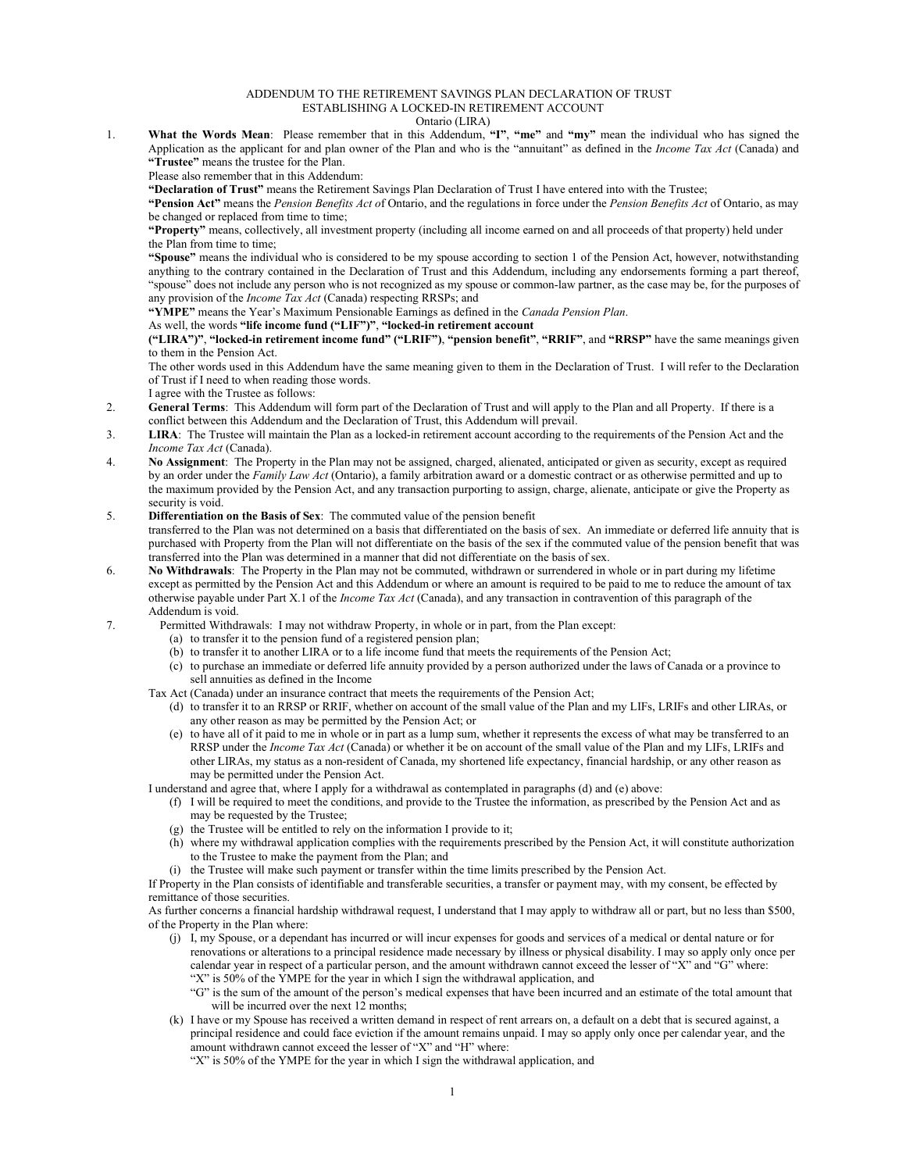## ADDENDUM TO THE RETIREMENT SAVINGS PLAN DECLARATION OF TRUST ESTABLISHING A LOCKED-IN RETIREMENT ACCOUNT

## Ontario (LIRA)

1. **What the Words Mean**: Please remember that in this Addendum, **"I"**, **"me"** and **"my"** mean the individual who has signed the Application as the applicant for and plan owner of the Plan and who is the "annuitant" as defined in the *Income Tax Act* (Canada) and **"Trustee"** means the trustee for the Plan.

Please also remember that in this Addendum:

**"Declaration of Trust"** means the Retirement Savings Plan Declaration of Trust I have entered into with the Trustee;

**"Pension Act"** means the *Pension Benefits Act o*f Ontario, and the regulations in force under the *Pension Benefits Act* of Ontario, as may be changed or replaced from time to time;

**"Property"** means, collectively, all investment property (including all income earned on and all proceeds of that property) held under the Plan from time to time;

**"Spouse"** means the individual who is considered to be my spouse according to section 1 of the Pension Act, however, notwithstanding anything to the contrary contained in the Declaration of Trust and this Addendum, including any endorsements forming a part thereof, "spouse" does not include any person who is not recognized as my spouse or common-law partner, as the case may be, for the purposes of any provision of the *Income Tax Act* (Canada) respecting RRSPs; and

**"YMPE"** means the Year's Maximum Pensionable Earnings as defined in the *Canada Pension Plan*.

## As well, the words **"life income fund ("LIF")"**, **"locked-in retirement account**

**("LIRA")"**, **"locked-in retirement income fund" ("LRIF")**, **"pension benefit"**, **"RRIF"**, and **"RRSP"** have the same meanings given to them in the Pension Act.

The other words used in this Addendum have the same meaning given to them in the Declaration of Trust. I will refer to the Declaration of Trust if I need to when reading those words.

I agree with the Trustee as follows:

- 2. **General Terms**: This Addendum will form part of the Declaration of Trust and will apply to the Plan and all Property. If there is a conflict between this Addendum and the Declaration of Trust, this Addendum will prevail.
- 3. **LIRA**: The Trustee will maintain the Plan as a locked-in retirement account according to the requirements of the Pension Act and the *Income Tax Act* (Canada).
- 4. **No Assignment**: The Property in the Plan may not be assigned, charged, alienated, anticipated or given as security, except as required by an order under the *Family Law Act* (Ontario), a family arbitration award or a domestic contract or as otherwise permitted and up to the maximum provided by the Pension Act, and any transaction purporting to assign, charge, alienate, anticipate or give the Property as security is void.

## 5. **Differentiation on the Basis of Sex**: The commuted value of the pension benefit

transferred to the Plan was not determined on a basis that differentiated on the basis of sex. An immediate or deferred life annuity that is purchased with Property from the Plan will not differentiate on the basis of the sex if the commuted value of the pension benefit that was transferred into the Plan was determined in a manner that did not differentiate on the basis of sex.

- 6. **No Withdrawals**: The Property in the Plan may not be commuted, withdrawn or surrendered in whole or in part during my lifetime except as permitted by the Pension Act and this Addendum or where an amount is required to be paid to me to reduce the amount of tax otherwise payable under Part X.1 of the *Income Tax Act* (Canada), and any transaction in contravention of this paragraph of the Addendum is void.
- 7. Permitted Withdrawals: I may not withdraw Property, in whole or in part, from the Plan except:
	- (a) to transfer it to the pension fund of a registered pension plan;
	- (b) to transfer it to another LIRA or to a life income fund that meets the requirements of the Pension Act;
	- (c) to purchase an immediate or deferred life annuity provided by a person authorized under the laws of Canada or a province to sell annuities as defined in the Income
	- Tax Act (Canada) under an insurance contract that meets the requirements of the Pension Act;
		- (d) to transfer it to an RRSP or RRIF, whether on account of the small value of the Plan and my LIFs, LRIFs and other LIRAs, or any other reason as may be permitted by the Pension Act; or
		- (e) to have all of it paid to me in whole or in part as a lump sum, whether it represents the excess of what may be transferred to an RRSP under the *Income Tax Act* (Canada) or whether it be on account of the small value of the Plan and my LIFs, LRIFs and other LIRAs, my status as a non-resident of Canada, my shortened life expectancy, financial hardship, or any other reason as may be permitted under the Pension Act.

I understand and agree that, where I apply for a withdrawal as contemplated in paragraphs (d) and (e) above:

- (f) I will be required to meet the conditions, and provide to the Trustee the information, as prescribed by the Pension Act and as may be requested by the Trustee;
- (g) the Trustee will be entitled to rely on the information I provide to it;
- (h) where my withdrawal application complies with the requirements prescribed by the Pension Act, it will constitute authorization to the Trustee to make the payment from the Plan; and
- (i) the Trustee will make such payment or transfer within the time limits prescribed by the Pension Act.

If Property in the Plan consists of identifiable and transferable securities, a transfer or payment may, with my consent, be effected by remittance of those securities.

As further concerns a financial hardship withdrawal request, I understand that I may apply to withdraw all or part, but no less than \$500, of the Property in the Plan where:

- (j) I, my Spouse, or a dependant has incurred or will incur expenses for goods and services of a medical or dental nature or for renovations or alterations to a principal residence made necessary by illness or physical disability. I may so apply only once per calendar year in respect of a particular person, and the amount withdrawn cannot exceed the lesser of "X" and "G" where: "X" is 50% of the YMPE for the year in which I sign the withdrawal application, and
	- "G" is the sum of the amount of the person's medical expenses that have been incurred and an estimate of the total amount that will be incurred over the next 12 months;
- (k) I have or my Spouse has received a written demand in respect of rent arrears on, a default on a debt that is secured against, a principal residence and could face eviction if the amount remains unpaid. I may so apply only once per calendar year, and the amount withdrawn cannot exceed the lesser of "X" and "H" where:

"X" is 50% of the YMPE for the year in which I sign the withdrawal application, and